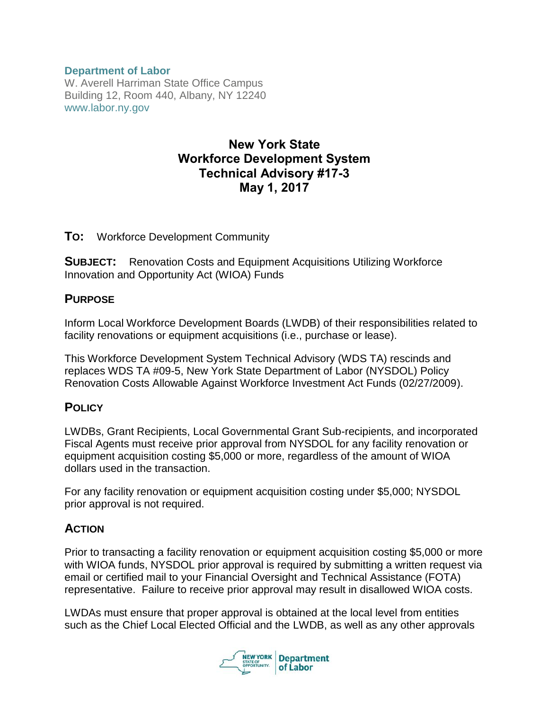#### **Department of Labor**

W. Averell Harriman State Office Campus Building 12, Room 440, Albany, NY 12240 www.labor.ny.gov

# New York State Workforce Development System Technical Advisory #17-3 May 1, 2017

#### **TO:** Workforce Development Community

**SUBJECT:** Renovation Costs and Equipment Acquisitions Utilizing Workforce Innovation and Opportunity Act (WIOA) Funds

#### **PURPOSE**

Inform Local Workforce Development Boards (LWDB) of their responsibilities related to facility renovations or equipment acquisitions (i.e., purchase or lease).

This Workforce Development System Technical Advisory (WDS TA) rescinds and replaces WDS TA #09-5, New York State Department of Labor (NYSDOL) Policy Renovation Costs Allowable Against Workforce Investment Act Funds (02/27/2009).

## **POLICY**

LWDBs, Grant Recipients, Local Governmental Grant Sub-recipients, and incorporated Fiscal Agents must receive prior approval from NYSDOL for any facility renovation or equipment acquisition costing \$5,000 or more, regardless of the amount of WIOA dollars used in the transaction.

For any facility renovation or equipment acquisition costing under \$5,000; NYSDOL prior approval is not required.

## **ACTION**

Prior to transacting a facility renovation or equipment acquisition costing \$5,000 or more with WIOA funds, NYSDOL prior approval is required by submitting a written request via email or certified mail to your Financial Oversight and Technical Assistance (FOTA) representative. Failure to receive prior approval may result in disallowed WIOA costs.

LWDAs must ensure that proper approval is obtained at the local level from entities such as the Chief Local Elected Official and the LWDB, as well as any other approvals